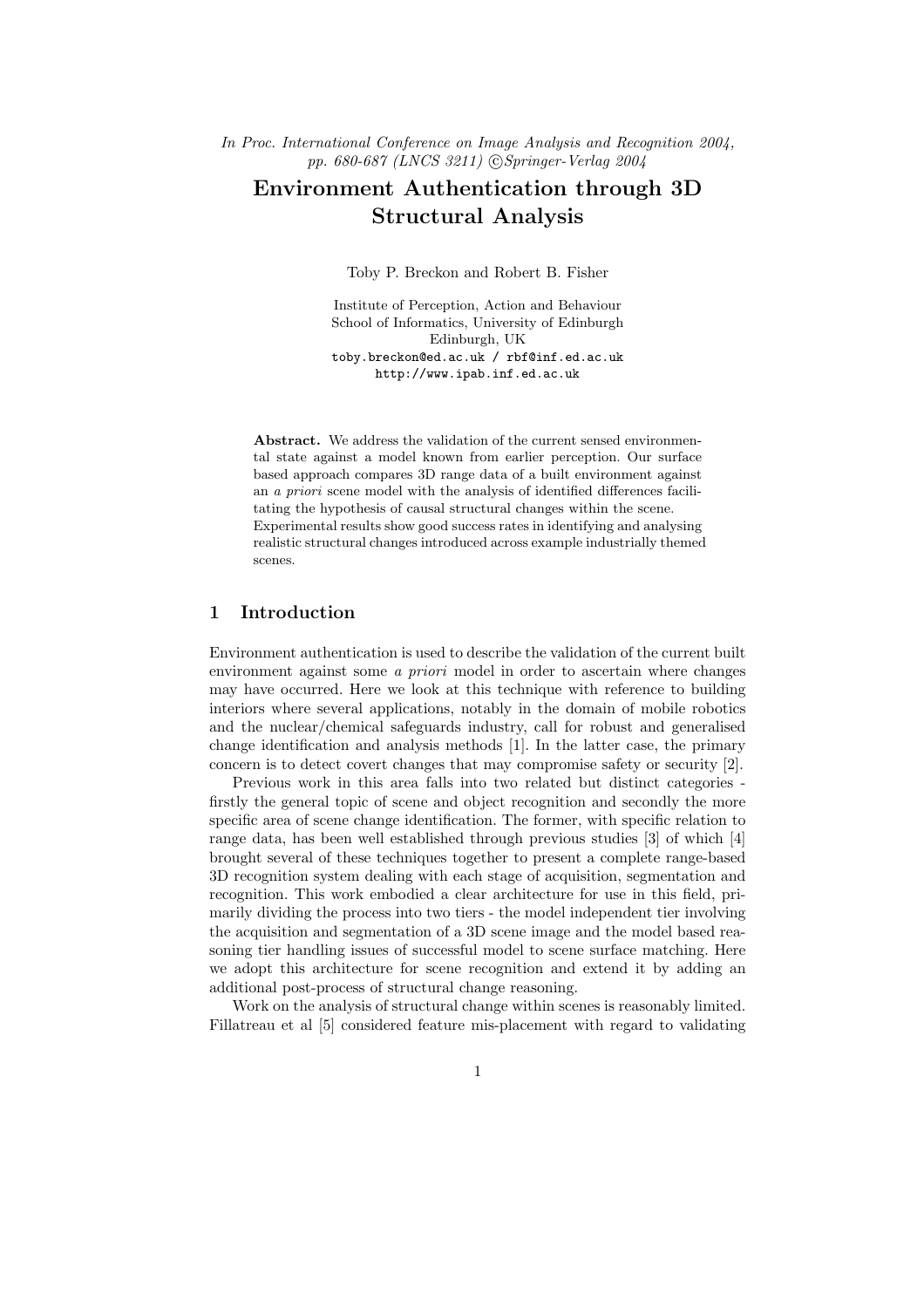# Environment Authentication through 3D Structural Analysis

Toby P. Breckon and Robert B. Fisher

Institute of Perception, Action and Behaviour School of Informatics, University of Edinburgh Edinburgh, UK toby.breckon@ed.ac.uk / rbf@inf.ed.ac.uk http://www.ipab.inf.ed.ac.uk

Abstract. We address the validation of the current sensed environmental state against a model known from earlier perception. Our surface based approach compares 3D range data of a built environment against an a priori scene model with the analysis of identified differences facilitating the hypothesis of causal structural changes within the scene. Experimental results show good success rates in identifying and analysing realistic structural changes introduced across example industrially themed scenes.

### 1 Introduction

Environment authentication is used to describe the validation of the current built environment against some *a priori* model in order to ascertain where changes may have occurred. Here we look at this technique with reference to building interiors where several applications, notably in the domain of mobile robotics and the nuclear/chemical safeguards industry, call for robust and generalised change identification and analysis methods [1]. In the latter case, the primary concern is to detect covert changes that may compromise safety or security [2].

Previous work in this area falls into two related but distinct categories firstly the general topic of scene and object recognition and secondly the more specific area of scene change identification. The former, with specific relation to range data, has been well established through previous studies [3] of which [4] brought several of these techniques together to present a complete range-based 3D recognition system dealing with each stage of acquisition, segmentation and recognition. This work embodied a clear architecture for use in this field, primarily dividing the process into two tiers - the model independent tier involving the acquisition and segmentation of a 3D scene image and the model based reasoning tier handling issues of successful model to scene surface matching. Here we adopt this architecture for scene recognition and extend it by adding an additional post-process of structural change reasoning.

Work on the analysis of structural change within scenes is reasonably limited. Fillatreau et al [5] considered feature mis-placement with regard to validating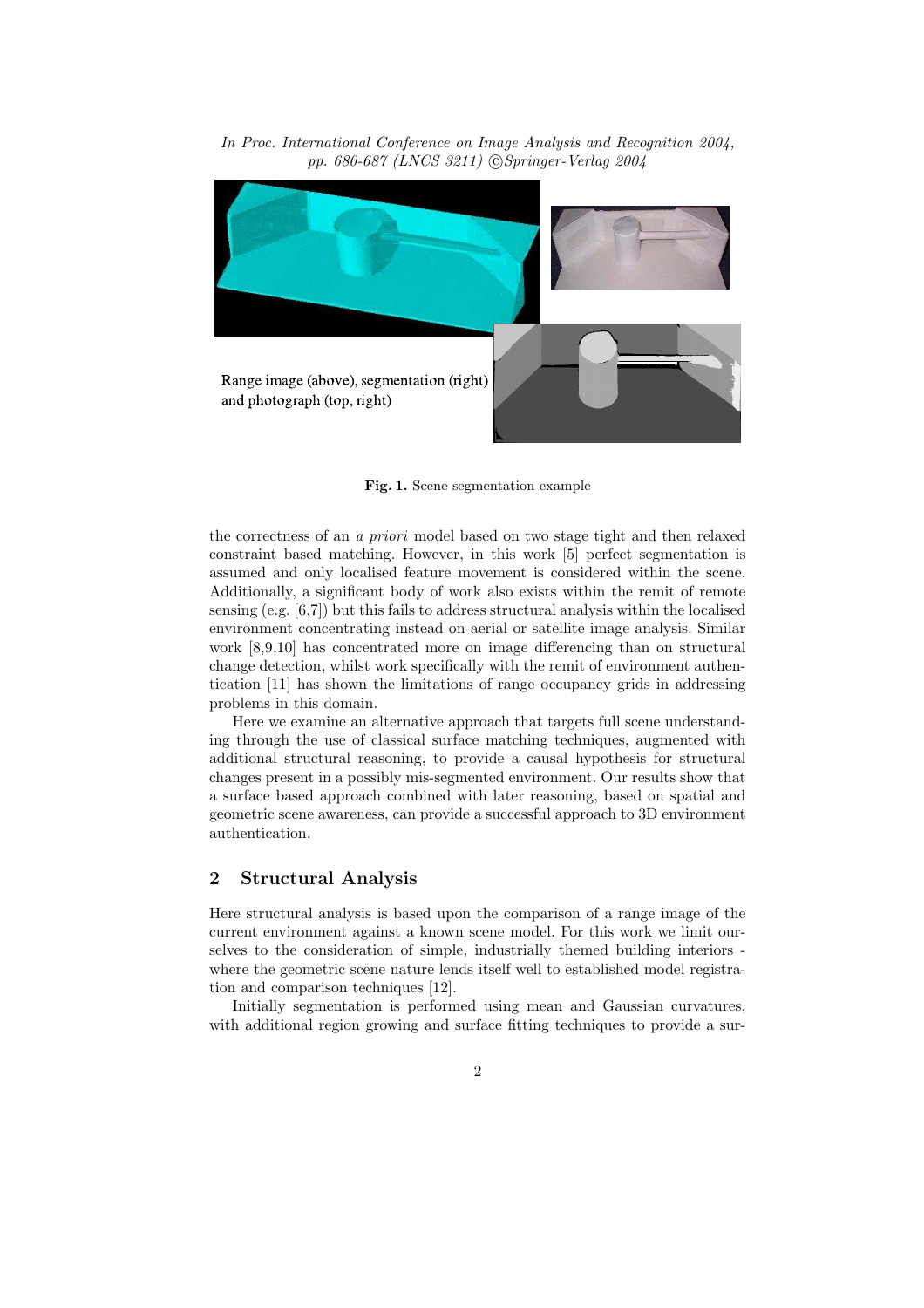In Proc. International Conference on Image Analysis and Recognition 2004, pp. 680-687 (LNCS 3211) © Springer-Verlag 2004



Fig. 1. Scene segmentation example

the correctness of an a priori model based on two stage tight and then relaxed constraint based matching. However, in this work [5] perfect segmentation is assumed and only localised feature movement is considered within the scene. Additionally, a significant body of work also exists within the remit of remote sensing (e.g. [6,7]) but this fails to address structural analysis within the localised environment concentrating instead on aerial or satellite image analysis. Similar work [8,9,10] has concentrated more on image differencing than on structural change detection, whilst work specifically with the remit of environment authentication [11] has shown the limitations of range occupancy grids in addressing problems in this domain.

Here we examine an alternative approach that targets full scene understanding through the use of classical surface matching techniques, augmented with additional structural reasoning, to provide a causal hypothesis for structural changes present in a possibly mis-segmented environment. Our results show that a surface based approach combined with later reasoning, based on spatial and geometric scene awareness, can provide a successful approach to 3D environment authentication.

### 2 Structural Analysis

Here structural analysis is based upon the comparison of a range image of the current environment against a known scene model. For this work we limit ourselves to the consideration of simple, industrially themed building interiors where the geometric scene nature lends itself well to established model registration and comparison techniques [12].

Initially segmentation is performed using mean and Gaussian curvatures, with additional region growing and surface fitting techniques to provide a sur-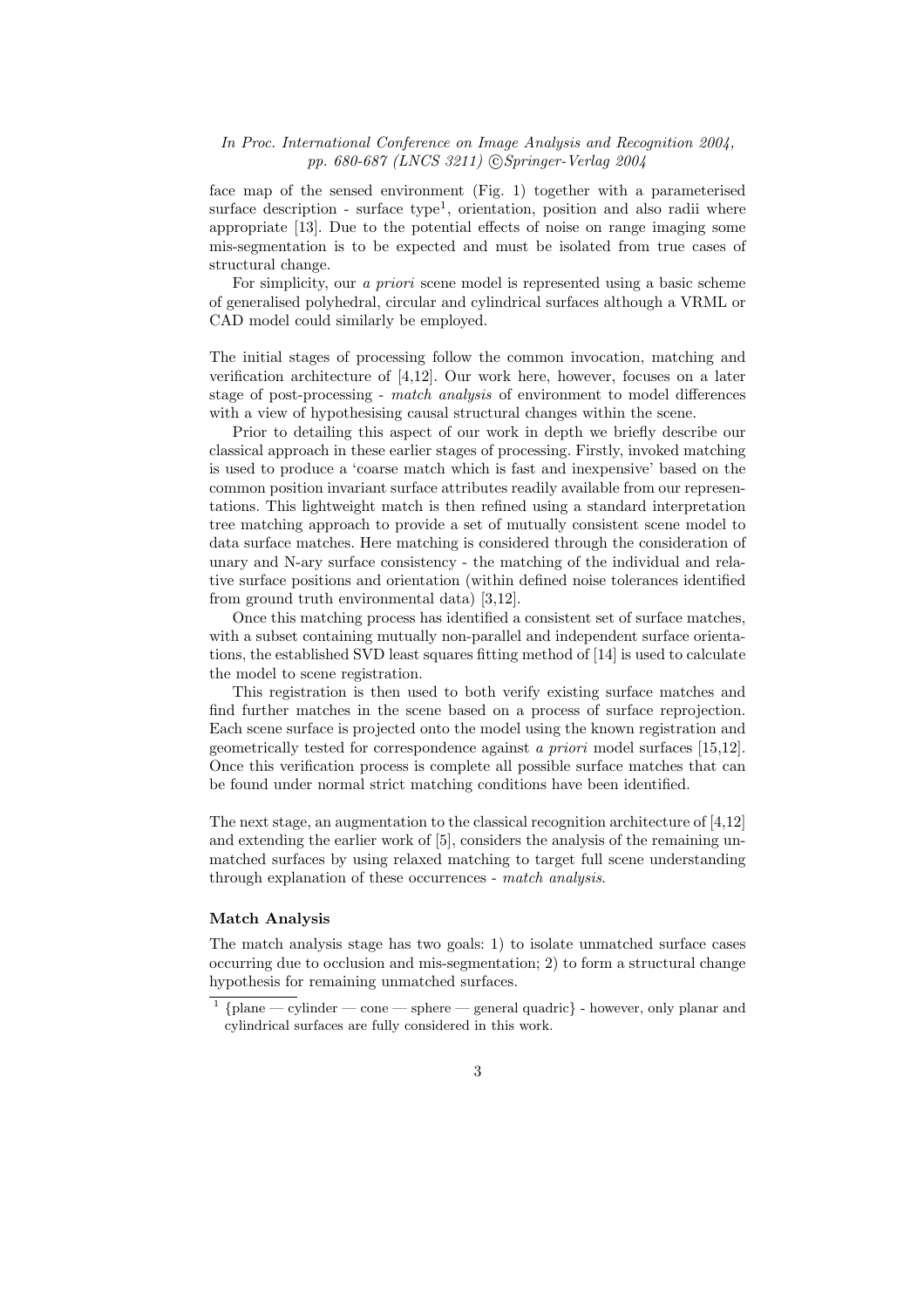face map of the sensed environment (Fig. 1) together with a parameterised surface description - surface  $type<sup>1</sup>$ , orientation, position and also radii where appropriate [13]. Due to the potential effects of noise on range imaging some mis-segmentation is to be expected and must be isolated from true cases of structural change.

For simplicity, our a priori scene model is represented using a basic scheme of generalised polyhedral, circular and cylindrical surfaces although a VRML or CAD model could similarly be employed.

The initial stages of processing follow the common invocation, matching and verification architecture of [4,12]. Our work here, however, focuses on a later stage of post-processing - match analysis of environment to model differences with a view of hypothesising causal structural changes within the scene.

Prior to detailing this aspect of our work in depth we briefly describe our classical approach in these earlier stages of processing. Firstly, invoked matching is used to produce a 'coarse match which is fast and inexpensive' based on the common position invariant surface attributes readily available from our representations. This lightweight match is then refined using a standard interpretation tree matching approach to provide a set of mutually consistent scene model to data surface matches. Here matching is considered through the consideration of unary and N-ary surface consistency - the matching of the individual and relative surface positions and orientation (within defined noise tolerances identified from ground truth environmental data) [3,12].

Once this matching process has identified a consistent set of surface matches, with a subset containing mutually non-parallel and independent surface orientations, the established SVD least squares fitting method of [14] is used to calculate the model to scene registration.

This registration is then used to both verify existing surface matches and find further matches in the scene based on a process of surface reprojection. Each scene surface is projected onto the model using the known registration and geometrically tested for correspondence against a priori model surfaces [15,12]. Once this verification process is complete all possible surface matches that can be found under normal strict matching conditions have been identified.

The next stage, an augmentation to the classical recognition architecture of [4,12] and extending the earlier work of [5], considers the analysis of the remaining unmatched surfaces by using relaxed matching to target full scene understanding through explanation of these occurrences - match analysis.

#### Match Analysis

The match analysis stage has two goals: 1) to isolate unmatched surface cases occurring due to occlusion and mis-segmentation; 2) to form a structural change hypothesis for remaining unmatched surfaces.

<sup>1</sup> {plane — cylinder — cone — sphere — general quadric} - however, only planar and cylindrical surfaces are fully considered in this work.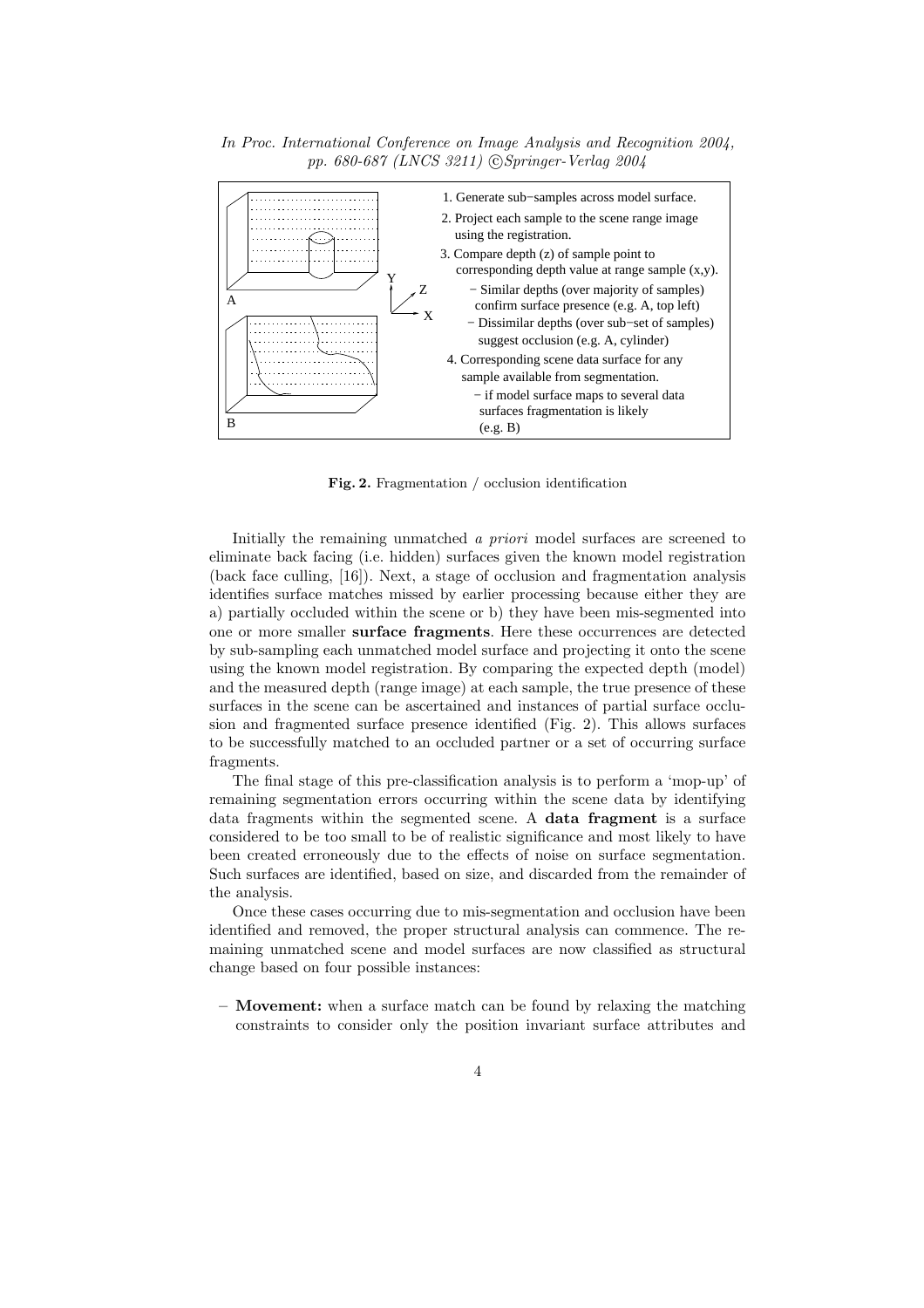In Proc. International Conference on Image Analysis and Recognition 2004, pp. 680-687 (LNCS 3211) © Springer-Verlag 2004



Fig. 2. Fragmentation / occlusion identification

Initially the remaining unmatched a priori model surfaces are screened to eliminate back facing (i.e. hidden) surfaces given the known model registration (back face culling, [16]). Next, a stage of occlusion and fragmentation analysis identifies surface matches missed by earlier processing because either they are a) partially occluded within the scene or b) they have been mis-segmented into one or more smaller surface fragments. Here these occurrences are detected by sub-sampling each unmatched model surface and projecting it onto the scene using the known model registration. By comparing the expected depth (model) and the measured depth (range image) at each sample, the true presence of these surfaces in the scene can be ascertained and instances of partial surface occlusion and fragmented surface presence identified (Fig. 2). This allows surfaces to be successfully matched to an occluded partner or a set of occurring surface fragments.

The final stage of this pre-classification analysis is to perform a 'mop-up' of remaining segmentation errors occurring within the scene data by identifying data fragments within the segmented scene. A data fragment is a surface considered to be too small to be of realistic significance and most likely to have been created erroneously due to the effects of noise on surface segmentation. Such surfaces are identified, based on size, and discarded from the remainder of the analysis.

Once these cases occurring due to mis-segmentation and occlusion have been identified and removed, the proper structural analysis can commence. The remaining unmatched scene and model surfaces are now classified as structural change based on four possible instances:

– Movement: when a surface match can be found by relaxing the matching constraints to consider only the position invariant surface attributes and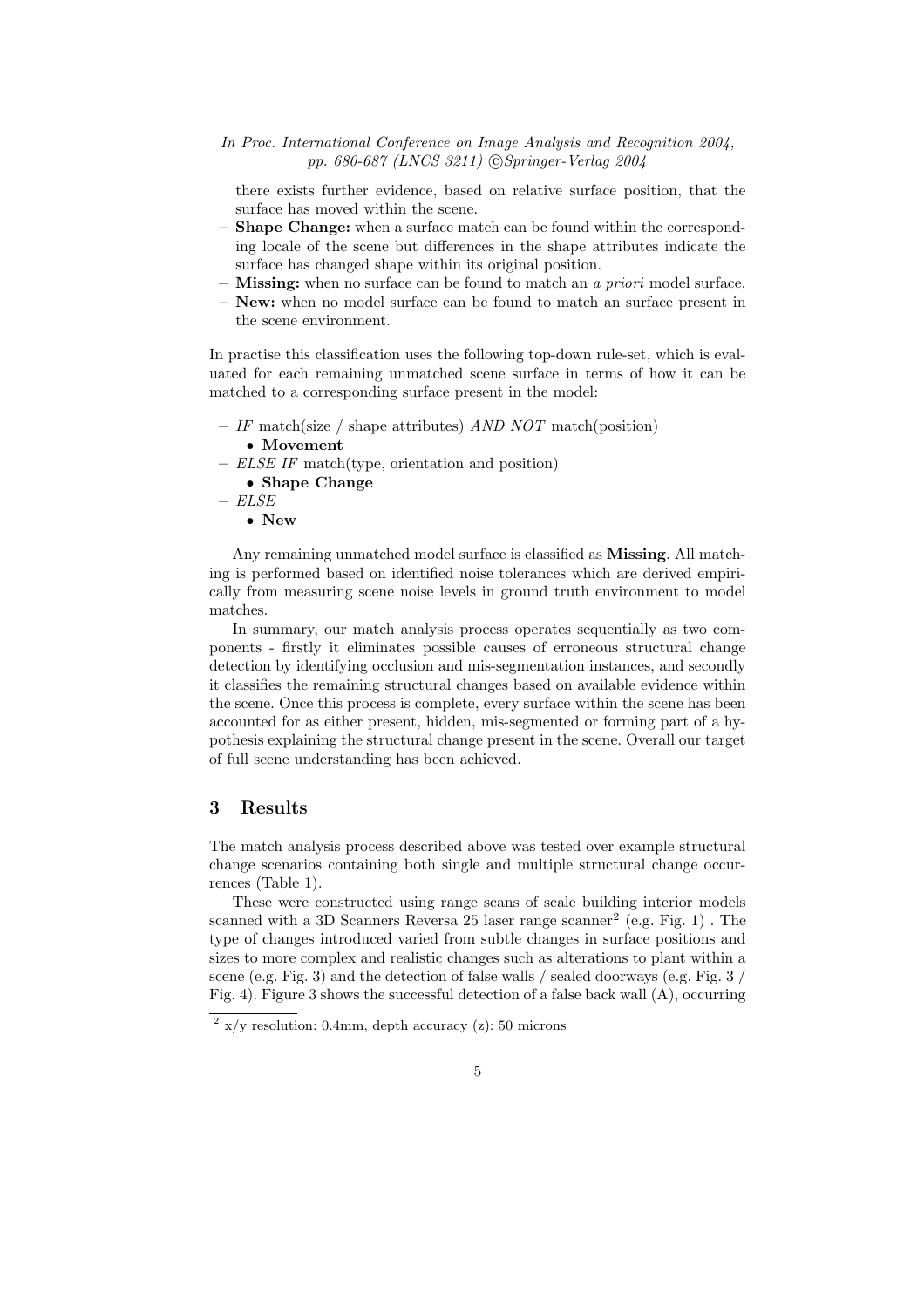there exists further evidence, based on relative surface position, that the surface has moved within the scene.

- Shape Change: when a surface match can be found within the corresponding locale of the scene but differences in the shape attributes indicate the surface has changed shape within its original position.
- $-$  **Missing:** when no surface can be found to match an a priori model surface.
- New: when no model surface can be found to match an surface present in the scene environment.

In practise this classification uses the following top-down rule-set, which is evaluated for each remaining unmatched scene surface in terms of how it can be matched to a corresponding surface present in the model:

- IF match(size / shape attributes) AND NOT match(position)
	- Movement
- ELSE IF match(type, orientation and position)
	- Shape Change
- ELSE
	- New

Any remaining unmatched model surface is classified as Missing. All matching is performed based on identified noise tolerances which are derived empirically from measuring scene noise levels in ground truth environment to model matches.

In summary, our match analysis process operates sequentially as two components - firstly it eliminates possible causes of erroneous structural change detection by identifying occlusion and mis-segmentation instances, and secondly it classifies the remaining structural changes based on available evidence within the scene. Once this process is complete, every surface within the scene has been accounted for as either present, hidden, mis-segmented or forming part of a hypothesis explaining the structural change present in the scene. Overall our target of full scene understanding has been achieved.

## 3 Results

The match analysis process described above was tested over example structural change scenarios containing both single and multiple structural change occurrences (Table 1).

These were constructed using range scans of scale building interior models scanned with a 3D Scanners Reversa 25 laser range scanner<sup>2</sup> (e.g. Fig. 1). The type of changes introduced varied from subtle changes in surface positions and sizes to more complex and realistic changes such as alterations to plant within a scene (e.g. Fig. 3) and the detection of false walls / sealed doorways (e.g. Fig. 3 / Fig. 4). Figure 3 shows the successful detection of a false back wall (A), occurring

 $2 \text{ x/y}$  resolution: 0.4mm, depth accuracy (z): 50 microns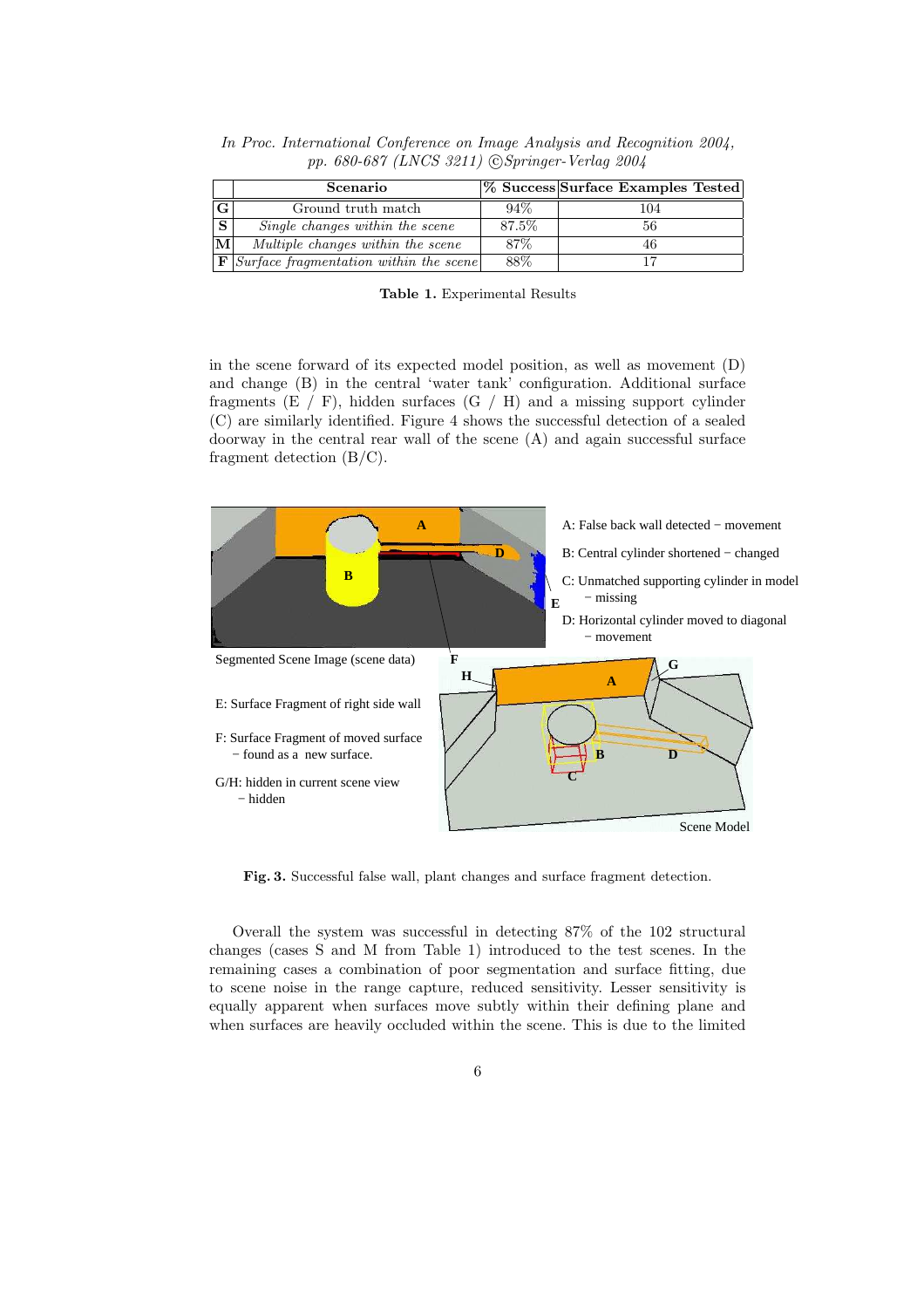|              | Scenario                                                                                   |       | <b>% Success Surface Examples Tested</b> |
|--------------|--------------------------------------------------------------------------------------------|-------|------------------------------------------|
| G            | Ground truth match                                                                         | 94%   | 104                                      |
| S            | Single changes within the scene                                                            | 87.5% | 56                                       |
| $\mathbf{M}$ | Multiple changes within the scene                                                          | 87\%  | 46                                       |
|              | $\sqrt{\mathbf{F}   \textit{Surface} \textit{fragmentation} \textit{within the scene} }  $ | 88\%  |                                          |

In Proc. International Conference on Image Analysis and Recognition 2004, pp. 680-687 (LNCS 3211) © Springer-Verlag 2004

Table 1. Experimental Results

in the scene forward of its expected model position, as well as movement (D) and change (B) in the central 'water tank' configuration. Additional surface fragments  $(E / F)$ , hidden surfaces  $(G / H)$  and a missing support cylinder (C) are similarly identified. Figure 4 shows the successful detection of a sealed doorway in the central rear wall of the scene (A) and again successful surface fragment detection (B/C).



Fig. 3. Successful false wall, plant changes and surface fragment detection.

Overall the system was successful in detecting 87% of the 102 structural changes (cases S and M from Table 1) introduced to the test scenes. In the remaining cases a combination of poor segmentation and surface fitting, due to scene noise in the range capture, reduced sensitivity. Lesser sensitivity is equally apparent when surfaces move subtly within their defining plane and when surfaces are heavily occluded within the scene. This is due to the limited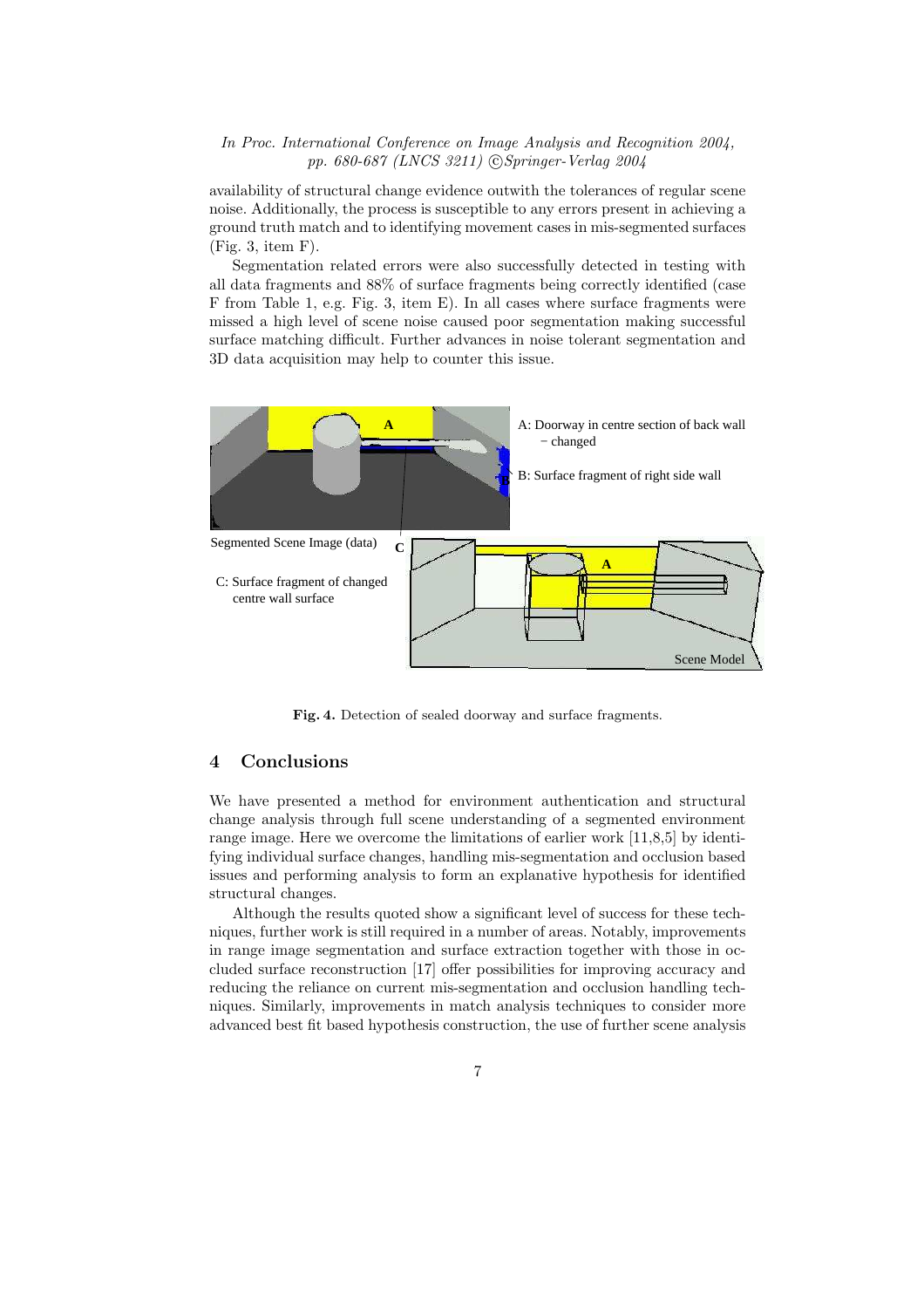availability of structural change evidence outwith the tolerances of regular scene noise. Additionally, the process is susceptible to any errors present in achieving a ground truth match and to identifying movement cases in mis-segmented surfaces (Fig. 3, item F).

Segmentation related errors were also successfully detected in testing with all data fragments and 88% of surface fragments being correctly identified (case F from Table 1, e.g. Fig. 3, item E). In all cases where surface fragments were missed a high level of scene noise caused poor segmentation making successful surface matching difficult. Further advances in noise tolerant segmentation and 3D data acquisition may help to counter this issue.



Fig. 4. Detection of sealed doorway and surface fragments.

### 4 Conclusions

We have presented a method for environment authentication and structural change analysis through full scene understanding of a segmented environment range image. Here we overcome the limitations of earlier work [11,8,5] by identifying individual surface changes, handling mis-segmentation and occlusion based issues and performing analysis to form an explanative hypothesis for identified structural changes.

Although the results quoted show a significant level of success for these techniques, further work is still required in a number of areas. Notably, improvements in range image segmentation and surface extraction together with those in occluded surface reconstruction [17] offer possibilities for improving accuracy and reducing the reliance on current mis-segmentation and occlusion handling techniques. Similarly, improvements in match analysis techniques to consider more advanced best fit based hypothesis construction, the use of further scene analysis